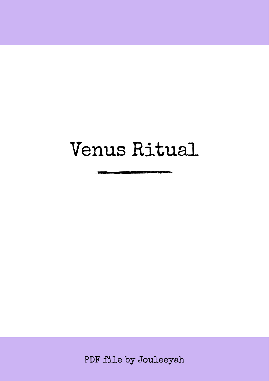# Venus Ritual

PDF file by Jouleeyah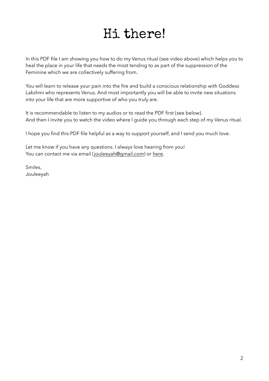## Hi there!

In this PDF file I am showing you how to do my Venus ritual (see video above) which helps you to heal the place in your life that needs the most tending to as part of the suppression of the Feminine which we are collectively suffering from.

You will learn to release your pain into the fire and build a conscious relationship with Goddess Lakshmi who represents Venus. And most importantly you will be able to invite new situations into your life that are more supportive of who you truly are.

It is recommendable to listen to my audios or to read the PDF first (see below). And then I invite you to watch the video where I guide you through each step of my Venus ritual.

I hope you find this PDF file helpful as a way to support yourself, and I send you much love.

Let me know if you have any questions. I always love hearing from you! You can contact me via email ([jouleeyah@gmail.com\)](mailto:jouleeyah@gmail.com) or [here.](https://jouleeyah.com/contact/)

Smiles, Jouleeyah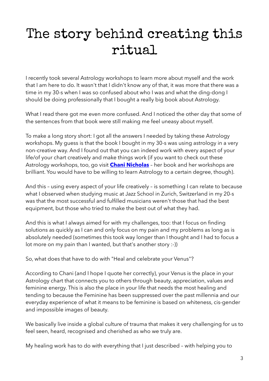# The story behind creating this ritual

I recently took several Astrology workshops to learn more about myself and the work that I am here to do. It wasn't that I didn't know any of that, it was more that there was a time in my 30-s when I was so confused about who I was and what the ding-dong I should be doing professionally that I bought a really big book about Astrology.

What I read there got me even more confused. And I noticed the other day that some of the sentences from that book were still making me feel uneasy about myself.

To make a long story short: I got all the answers I needed by taking these Astrology workshops. My guess is that the book I bought in my 30-s was using astrology in a very non-creative way. And I found out that you can indeed work with every aspect of your life/of your chart creatively and make things work (if you want to check out these Astrology workshops, too, go visit **[Chani Nicholas](https://chaninicholas.com/)** – her book and her workshops are brilliant. You would have to be willing to learn Astrology to a certain degree, though).

And this – using every aspect of your life creatively – is something I can relate to because what I observed when studying music at Jazz School in Zurich, Switzerland in my 20-s was that the most successful and fulfilled musicians weren't those that had the best equipment, but those who tried to make the best out of what they had.

And this is what I always aimed for with my challenges, too: that I focus on finding solutions as quickly as I can and only focus on my pain and my problems as long as is absolutely needed (sometimes this took way longer than I thought and I had to focus a lot more on my pain than I wanted, but that's another story :-))

So, what does that have to do with "Heal and celebrate your Venus"?

According to Chani (and I hope I quote her correctly), your Venus is the place in your Astrology chart that connects you to others through beauty, appreciation, values and feminine energy. This is also the place in your life that needs the most healing and tending to because the Feminine has been suppressed over the past millennia and our everyday experience of what it means to be feminine is based on whiteness, cis-gender and impossible images of beauty.

We basically live inside a global culture of trauma that makes it very challenging for us to feel seen, heard, recognised and cherished as who we truly are.

My healing work has to do with everything that I just described – with helping you to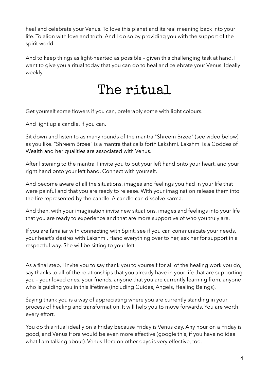heal and celebrate your Venus. To love this planet and its real meaning back into your life. To align with love and truth. And I do so by providing you with the support of the spirit world.

And to keep things as light-hearted as possible – given this challenging task at hand, I want to give you a ritual today that you can do to heal and celebrate your Venus. Ideally weekly.

### The ritual

Get yourself some flowers if you can, preferably some with light colours.

And light up a candle, if you can.

Sit down and listen to as many rounds of the mantra "Shreem Brzee" (see video below) as you like. "Shreem Brzee" is a mantra that calls forth Lakshmi. Lakshmi is a Goddes of Wealth and her qualities are associated with Venus.

After listening to the mantra, I invite you to put your left hand onto your heart, and your right hand onto your left hand. Connect with yourself.

And become aware of all the situations, images and feelings you had in your life that were painful and that you are ready to release. With your imagination release them into the fire represented by the candle. A candle can dissolve karma.

And then, with your imagination invite new situations, images and feelings into your life that you are ready to experience and that are more supportive of who you truly are.

If you are familiar with connecting with Spirit, see if you can communicate your needs, your heart's desires with Lakshmi. Hand everything over to her, ask her for support in a respectful way. She will be sitting to your left.

As a final step, I invite you to say thank you to yourself for all of the healing work you do, say thanks to all of the relationships that you already have in your life that are supporting you – your loved ones, your friends, anyone that you are currently learning from, anyone who is guiding you in this lifetime (including Guides, Angels, Healing Beings).

Saying thank you is a way of appreciating where you are currently standing in your process of healing and transformation. It will help you to move forwards. You are worth every effort.

You do this ritual ideally on a Friday because Friday is Venus day. Any hour on a Friday is good, and Venus Hora would be even more effective (google this, if you have no idea what I am talking about). Venus Hora on other days is very effective, too.